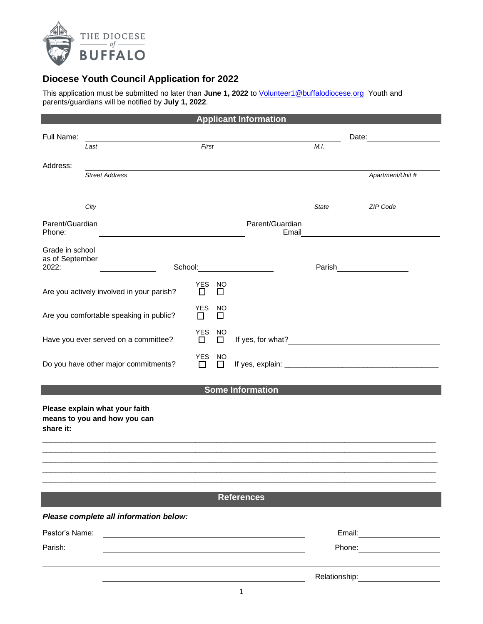

## **Diocese Youth Council Application for 2022**

This application must be submitted no later than **June 1, 2022** to [Volunteer1@buffalodiocese.org](mailto:Volunteer1@buffalodiocese.org) Youth and parents/guardians will be notified by **July 1, 2022**.

|                                             |                                                                |                 |              | <b>Applicant Information</b>                                                                                                                                                               |              |                                                                                                                                                                                                                                |  |
|---------------------------------------------|----------------------------------------------------------------|-----------------|--------------|--------------------------------------------------------------------------------------------------------------------------------------------------------------------------------------------|--------------|--------------------------------------------------------------------------------------------------------------------------------------------------------------------------------------------------------------------------------|--|
| Full Name:                                  |                                                                |                 |              |                                                                                                                                                                                            |              | Date: the contract of the contract of the contract of the contract of the contract of the contract of the contract of the contract of the contract of the contract of the contract of the contract of the contract of the cont |  |
|                                             | Last                                                           | First           |              |                                                                                                                                                                                            | M.I.         |                                                                                                                                                                                                                                |  |
| Address:                                    |                                                                |                 |              |                                                                                                                                                                                            |              |                                                                                                                                                                                                                                |  |
|                                             | <b>Street Address</b>                                          |                 |              |                                                                                                                                                                                            |              | Apartment/Unit #                                                                                                                                                                                                               |  |
|                                             |                                                                |                 |              |                                                                                                                                                                                            |              |                                                                                                                                                                                                                                |  |
|                                             | City                                                           |                 |              |                                                                                                                                                                                            | <b>State</b> | <b>ZIP Code</b>                                                                                                                                                                                                                |  |
| Parent/Guardian<br>Phone:                   |                                                                |                 |              | Parent/Guardian<br>Email                                                                                                                                                                   |              |                                                                                                                                                                                                                                |  |
| Grade in school<br>as of September<br>2022: |                                                                |                 |              | School: <b>School: School: School: School: School: School: School: School: School: School: School: School: School: School: School: School: School: School: School: School: School: Sch</b> | Parish       |                                                                                                                                                                                                                                |  |
|                                             |                                                                | YES             | NO           |                                                                                                                                                                                            |              |                                                                                                                                                                                                                                |  |
| Are you actively involved in your parish?   |                                                                |                 | П            |                                                                                                                                                                                            |              |                                                                                                                                                                                                                                |  |
| Are you comfortable speaking in public?     |                                                                | <b>YES</b><br>П | NO<br>□      |                                                                                                                                                                                            |              |                                                                                                                                                                                                                                |  |
| Have you ever served on a committee?        |                                                                | YES<br>П        | NO<br>□      | If yes, for what?                                                                                                                                                                          |              |                                                                                                                                                                                                                                |  |
| Do you have other major commitments?        |                                                                |                 | NO<br>$\Box$ |                                                                                                                                                                                            |              |                                                                                                                                                                                                                                |  |
|                                             |                                                                |                 |              | <b>Some Information</b>                                                                                                                                                                    |              |                                                                                                                                                                                                                                |  |
| share it:                                   | Please explain what your faith<br>means to you and how you can |                 |              |                                                                                                                                                                                            |              |                                                                                                                                                                                                                                |  |
|                                             |                                                                |                 |              |                                                                                                                                                                                            |              |                                                                                                                                                                                                                                |  |
|                                             |                                                                |                 |              |                                                                                                                                                                                            |              |                                                                                                                                                                                                                                |  |
|                                             |                                                                |                 |              |                                                                                                                                                                                            |              |                                                                                                                                                                                                                                |  |
|                                             |                                                                |                 |              | <b>References</b>                                                                                                                                                                          |              |                                                                                                                                                                                                                                |  |
|                                             | Please complete all information below:                         |                 |              |                                                                                                                                                                                            |              |                                                                                                                                                                                                                                |  |
| Pastor's Name:                              |                                                                |                 |              |                                                                                                                                                                                            |              | Email: ________________________                                                                                                                                                                                                |  |
| Parish:                                     |                                                                |                 |              |                                                                                                                                                                                            |              |                                                                                                                                                                                                                                |  |
|                                             |                                                                |                 |              |                                                                                                                                                                                            |              |                                                                                                                                                                                                                                |  |
|                                             |                                                                |                 |              | 1                                                                                                                                                                                          |              |                                                                                                                                                                                                                                |  |